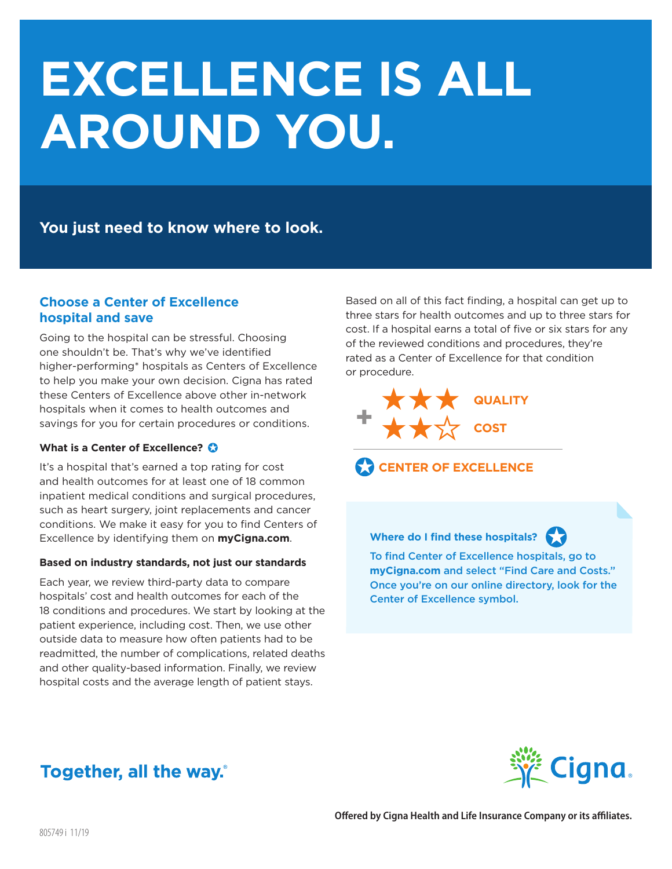# **EXCELLENCE IS ALL AROUND YOU.**

**You just need to know where to look.**

## **Choose a Center of Excellence hospital and save**

Going to the hospital can be stressful. Choosing one shouldn't be. That's why we've identified higher-performing\* hospitals as Centers of Excellence to help you make your own decision. Cigna has rated these Centers of Excellence above other in-network hospitals when it comes to health outcomes and savings for you for certain procedures or conditions.

### **What is a Center of Excellence?**  $\odot$

It's a hospital that's earned a top rating for cost and health outcomes for at least one of 18 common inpatient medical conditions and surgical procedures, such as heart surgery, joint replacements and cancer conditions. We make it easy for you to find Centers of Excellence by identifying them on **myCigna.com**.

#### **Based on industry standards, not just our standards**

Each year, we review third-party data to compare hospitals' cost and health outcomes for each of the 18 conditions and procedures. We start by looking at the patient experience, including cost. Then, we use other outside data to measure how often patients had to be readmitted, the number of complications, related deaths and other quality-based information. Finally, we review hospital costs and the average length of patient stays.

Based on all of this fact finding, a hospital can get up to three stars for health outcomes and up to three stars for cost. If a hospital earns a total of five or six stars for any of the reviewed conditions and procedures, they're rated as a Center of Excellence for that condition or procedure.





**Where do I find these hospitals?**



To find Center of Excellence hospitals, go to **myCigna.com** and select "Find Care and Costs." Once you're on our online directory, look for the Center of Excellence symbol.